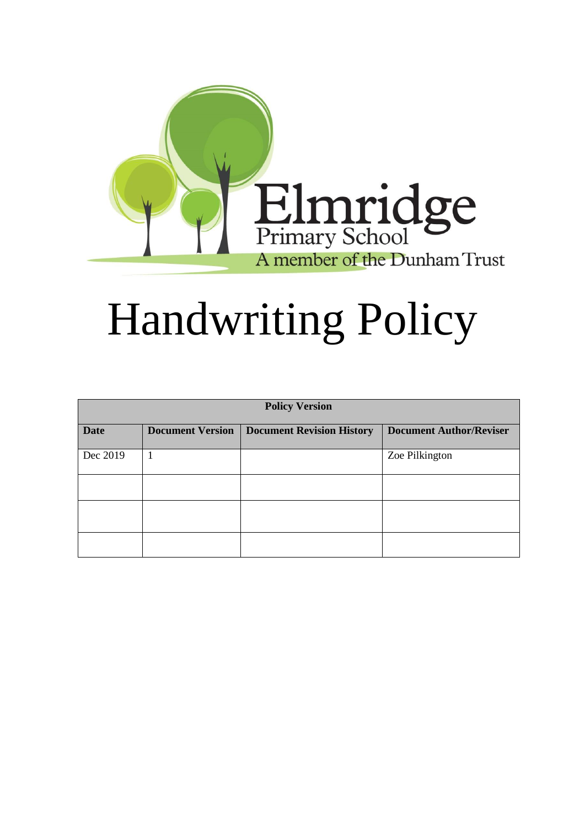

# Handwriting Policy

| <b>Policy Version</b> |                         |                                  |                                |
|-----------------------|-------------------------|----------------------------------|--------------------------------|
| <b>Date</b>           | <b>Document Version</b> | <b>Document Revision History</b> | <b>Document Author/Reviser</b> |
| Dec 2019              | 1                       |                                  | Zoe Pilkington                 |
|                       |                         |                                  |                                |
|                       |                         |                                  |                                |
|                       |                         |                                  |                                |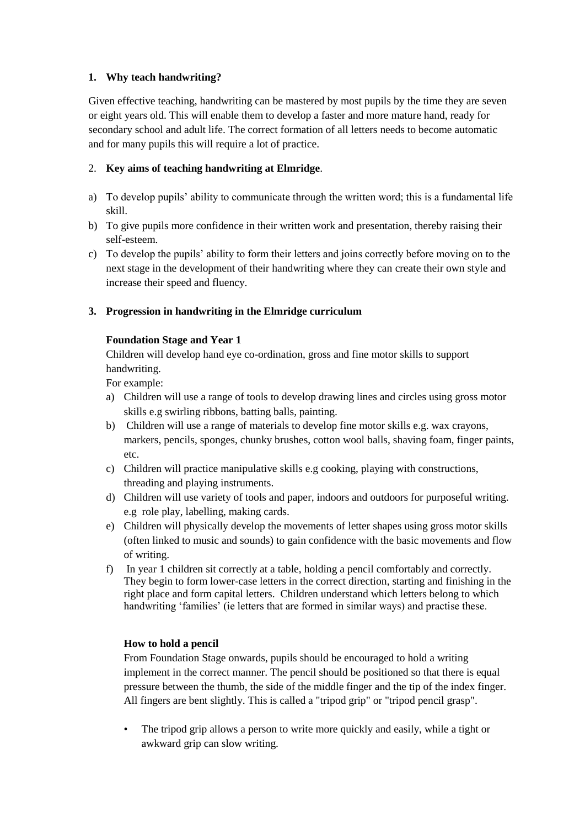# **1. Why teach handwriting?**

Given effective teaching, handwriting can be mastered by most pupils by the time they are seven or eight years old. This will enable them to develop a faster and more mature hand, ready for secondary school and adult life. The correct formation of all letters needs to become automatic and for many pupils this will require a lot of practice.

# 2. **Key aims of teaching handwriting at Elmridge**.

- a) To develop pupils' ability to communicate through the written word; this is a fundamental life skill.
- b) To give pupils more confidence in their written work and presentation, thereby raising their self-esteem.
- c) To develop the pupils' ability to form their letters and joins correctly before moving on to the next stage in the development of their handwriting where they can create their own style and increase their speed and fluency.

# **3. Progression in handwriting in the Elmridge curriculum**

# **Foundation Stage and Year 1**

Children will develop hand eye co-ordination, gross and fine motor skills to support handwriting.

For example:

- a) Children will use a range of tools to develop drawing lines and circles using gross motor skills e.g swirling ribbons, batting balls, painting.
- b) Children will use a range of materials to develop fine motor skills e.g. wax crayons, markers, pencils, sponges, chunky brushes, cotton wool balls, shaving foam, finger paints, etc.
- c) Children will practice manipulative skills e.g cooking, playing with constructions, threading and playing instruments.
- d) Children will use variety of tools and paper, indoors and outdoors for purposeful writing. e.g role play, labelling, making cards.
- e) Children will physically develop the movements of letter shapes using gross motor skills (often linked to music and sounds) to gain confidence with the basic movements and flow of writing.
- f) In year 1 children sit correctly at a table, holding a pencil comfortably and correctly. They begin to form lower-case letters in the correct direction, starting and finishing in the right place and form capital letters. Children understand which letters belong to which handwriting 'families' (ie letters that are formed in similar ways) and practise these.

# **How to hold a pencil**

From Foundation Stage onwards, pupils should be encouraged to hold a writing implement in the correct manner. The pencil should be positioned so that there is equal pressure between the thumb, the side of the middle finger and the tip of the index finger. All fingers are bent slightly. This is called a "tripod grip" or "tripod pencil grasp".

The tripod grip allows a person to write more quickly and easily, while a tight or awkward grip can slow writing.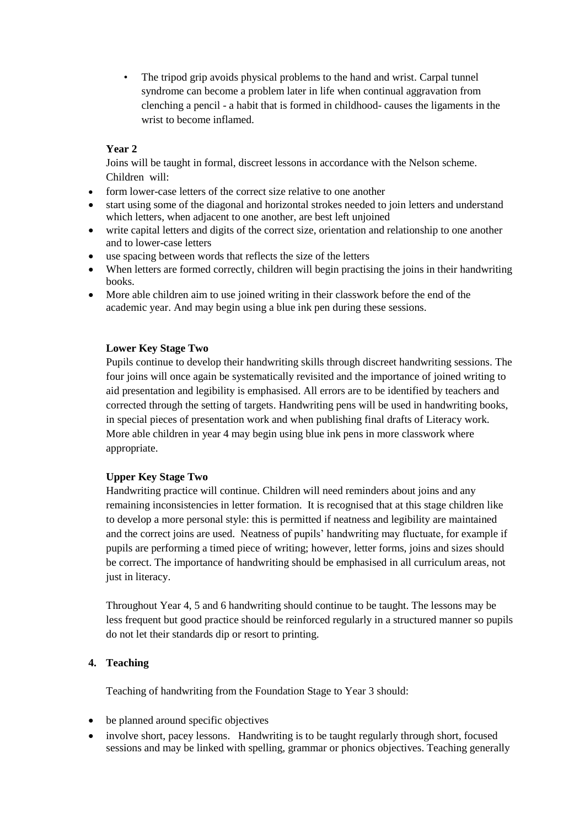The tripod grip avoids physical problems to the hand and wrist. Carpal tunnel syndrome can become a problem later in life when continual aggravation from clenching a pencil - a habit that is formed in childhood- causes the ligaments in the wrist to become inflamed.

# **Year 2**

Joins will be taught in formal, discreet lessons in accordance with the Nelson scheme. Children will:

- form lower-case letters of the correct size relative to one another
- start using some of the diagonal and horizontal strokes needed to join letters and understand which letters, when adjacent to one another, are best left unjoined
- write capital letters and digits of the correct size, orientation and relationship to one another and to lower-case letters
- use spacing between words that reflects the size of the letters
- When letters are formed correctly, children will begin practising the joins in their handwriting books.
- More able children aim to use joined writing in their classwork before the end of the academic year. And may begin using a blue ink pen during these sessions.

# **Lower Key Stage Two**

Pupils continue to develop their handwriting skills through discreet handwriting sessions. The four joins will once again be systematically revisited and the importance of joined writing to aid presentation and legibility is emphasised. All errors are to be identified by teachers and corrected through the setting of targets. Handwriting pens will be used in handwriting books, in special pieces of presentation work and when publishing final drafts of Literacy work. More able children in year 4 may begin using blue ink pens in more classwork where appropriate.

#### **Upper Key Stage Two**

Handwriting practice will continue. Children will need reminders about joins and any remaining inconsistencies in letter formation. It is recognised that at this stage children like to develop a more personal style: this is permitted if neatness and legibility are maintained and the correct joins are used. Neatness of pupils' handwriting may fluctuate, for example if pupils are performing a timed piece of writing; however, letter forms, joins and sizes should be correct. The importance of handwriting should be emphasised in all curriculum areas, not just in literacy.

Throughout Year 4, 5 and 6 handwriting should continue to be taught. The lessons may be less frequent but good practice should be reinforced regularly in a structured manner so pupils do not let their standards dip or resort to printing.

# **4. Teaching**

Teaching of handwriting from the Foundation Stage to Year 3 should:

- be planned around specific objectives
- involve short, pacey lessons. Handwriting is to be taught regularly through short, focused sessions and may be linked with spelling, grammar or phonics objectives. Teaching generally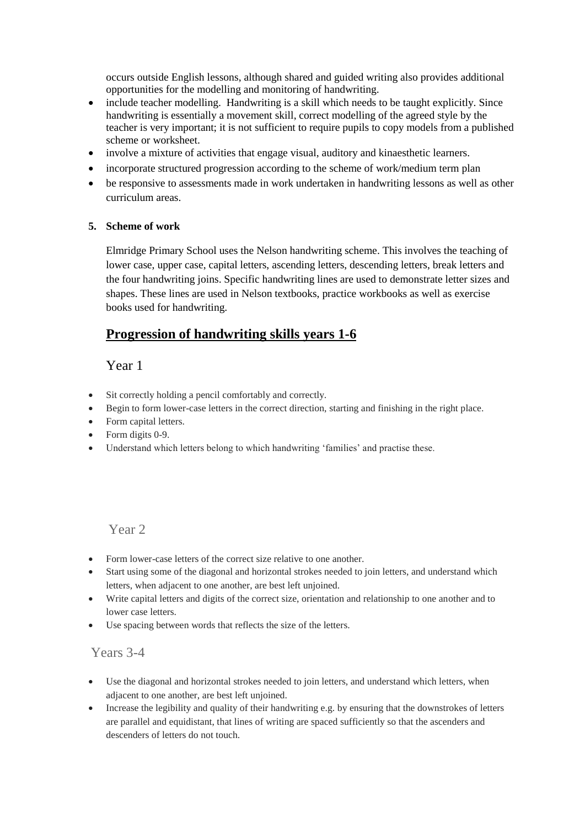occurs outside English lessons, although shared and guided writing also provides additional opportunities for the modelling and monitoring of handwriting.

- include teacher modelling. Handwriting is a skill which needs to be taught explicitly. Since handwriting is essentially a movement skill, correct modelling of the agreed style by the teacher is very important; it is not sufficient to require pupils to copy models from a published scheme or worksheet.
- involve a mixture of activities that engage visual, auditory and kinaesthetic learners.
- incorporate structured progression according to the scheme of work/medium term plan
- be responsive to assessments made in work undertaken in handwriting lessons as well as other curriculum areas.

#### **5. Scheme of work**

Elmridge Primary School uses the Nelson handwriting scheme. This involves the teaching of lower case, upper case, capital letters, ascending letters, descending letters, break letters and the four handwriting joins. Specific handwriting lines are used to demonstrate letter sizes and shapes. These lines are used in Nelson textbooks, practice workbooks as well as exercise books used for handwriting.

# **Progression of handwriting skills years 1-6**

# Year 1

- Sit correctly holding a pencil comfortably and correctly.
- Begin to form lower-case letters in the correct direction, starting and finishing in the right place.
- Form capital letters.
- Form digits 0-9.
- Understand which letters belong to which handwriting 'families' and practise these.

# Year 2

- Form lower-case letters of the correct size relative to one another.
- Start using some of the diagonal and horizontal strokes needed to join letters, and understand which letters, when adjacent to one another, are best left unjoined.
- Write capital letters and digits of the correct size, orientation and relationship to one another and to lower case letters.
- Use spacing between words that reflects the size of the letters.

# Years 3-4

- Use the diagonal and horizontal strokes needed to join letters, and understand which letters, when adjacent to one another, are best left unjoined.
- Increase the legibility and quality of their handwriting e.g. by ensuring that the downstrokes of letters are parallel and equidistant, that lines of writing are spaced sufficiently so that the ascenders and descenders of letters do not touch.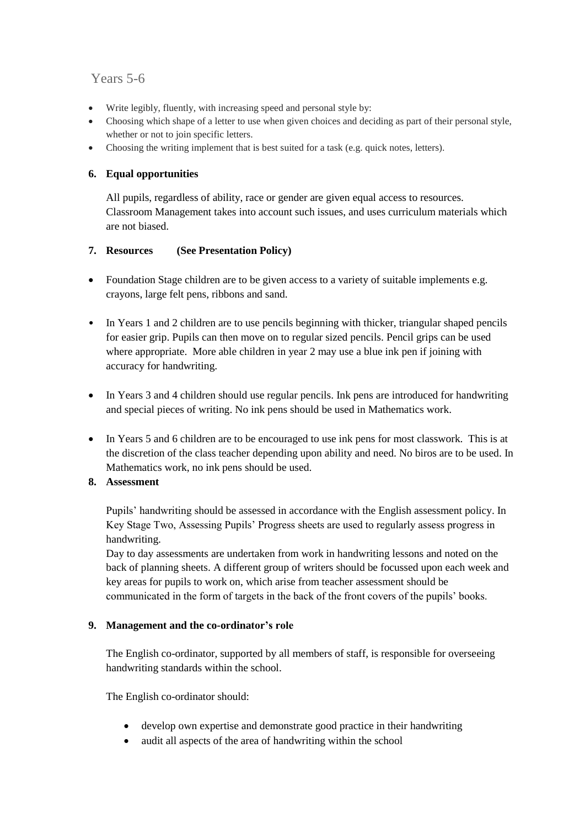# Years 5-6

- Write legibly, fluently, with increasing speed and personal style by:
- Choosing which shape of a letter to use when given choices and deciding as part of their personal style, whether or not to join specific letters.
- Choosing the writing implement that is best suited for a task (e.g. quick notes, letters).

# **6. Equal opportunities**

All pupils, regardless of ability, race or gender are given equal access to resources. Classroom Management takes into account such issues, and uses curriculum materials which are not biased.

# **7. Resources (See Presentation Policy)**

- Foundation Stage children are to be given access to a variety of suitable implements e.g. crayons, large felt pens, ribbons and sand.
- In Years 1 and 2 children are to use pencils beginning with thicker, triangular shaped pencils for easier grip. Pupils can then move on to regular sized pencils. Pencil grips can be used where appropriate. More able children in year 2 may use a blue ink pen if joining with accuracy for handwriting.
- In Years 3 and 4 children should use regular pencils. Ink pens are introduced for handwriting and special pieces of writing. No ink pens should be used in Mathematics work.
- In Years 5 and 6 children are to be encouraged to use ink pens for most classwork. This is at the discretion of the class teacher depending upon ability and need. No biros are to be used. In Mathematics work, no ink pens should be used.

# **8. Assessment**

Pupils' handwriting should be assessed in accordance with the English assessment policy. In Key Stage Two, Assessing Pupils' Progress sheets are used to regularly assess progress in handwriting.

Day to day assessments are undertaken from work in handwriting lessons and noted on the back of planning sheets. A different group of writers should be focussed upon each week and key areas for pupils to work on, which arise from teacher assessment should be communicated in the form of targets in the back of the front covers of the pupils' books.

# **9. Management and the co-ordinator's role**

The English co-ordinator, supported by all members of staff, is responsible for overseeing handwriting standards within the school.

The English co-ordinator should:

- develop own expertise and demonstrate good practice in their handwriting
- audit all aspects of the area of handwriting within the school